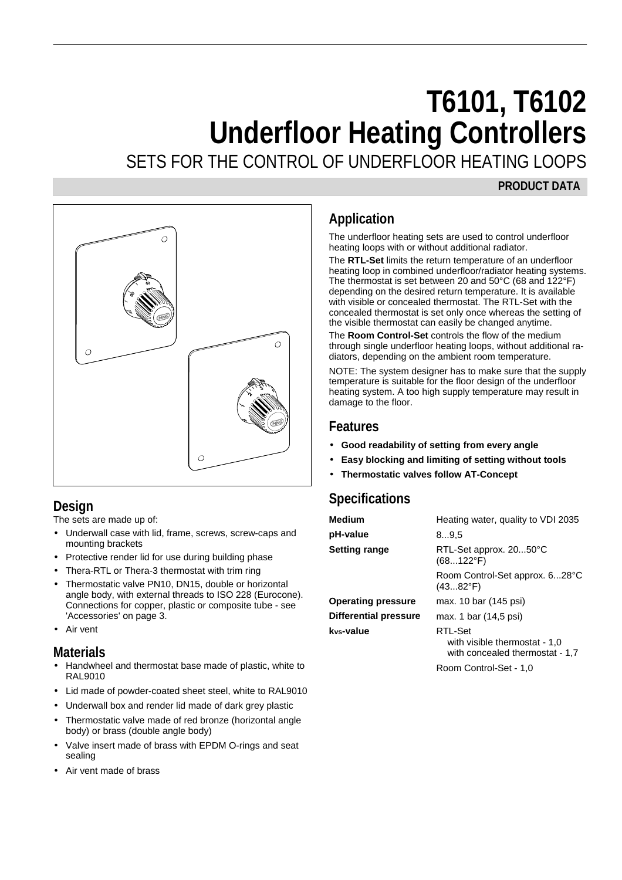# **T6101, T6102 Underfloor Heating Controllers**

SETS FOR THE CONTROL OF UNDERFLOOR HEATING LOOPS

#### **PRODUCT DATA**



## **Design**

The sets are made up of:

- Underwall case with lid, frame, screws, screw-caps and mounting brackets
- Protective render lid for use during building phase
- Thera-RTL or Thera-3 thermostat with trim ring
- Thermostatic valve PN10, DN15, double or horizontal angle body, with external threads to ISO 228 (Eurocone). Connections for copper, plastic or composite tube - see 'Accessories' on page 3.
- Air vent

#### **Materials**

- Handwheel and thermostat base made of plastic, white to RAL9010
- Lid made of powder-coated sheet steel, white to RAL9010
- Underwall box and render lid made of dark grey plastic
- Thermostatic valve made of red bronze (horizontal angle body) or brass (double angle body)
- Valve insert made of brass with EPDM O-rings and seat sealing
- Air vent made of brass

# **Application**

The underfloor heating sets are used to control underfloor heating loops with or without additional radiator.

The **RTL-Set** limits the return temperature of an underfloor heating loop in combined underfloor/radiator heating systems. The thermostat is set between 20 and 50°C (68 and 122°F) depending on the desired return temperature. It is available with visible or concealed thermostat. The RTL-Set with the concealed thermostat is set only once whereas the setting of the visible thermostat can easily be changed anytime.

The **Room Control-Set** controls the flow of the medium through single underfloor heating loops, without additional radiators, depending on the ambient room temperature.

NOTE: The system designer has to make sure that the supply temperature is suitable for the floor design of the underfloor heating system. A too high supply temperature may result in damage to the floor.

#### **Features**

- **Good readability of setting from every angle**
- **Easy blocking and limiting of setting without tools**
- **Thermostatic valves follow AT-Concept**

# **Specifications**

| Heating water, quality to VDI 2035                                          |
|-----------------------------------------------------------------------------|
| 89.5                                                                        |
| RTL-Set approx. 2050°C<br>$(68122^{\circ}F)$                                |
| Room Control-Set approx. 628°C<br>$(4382^{\circ}F)$                         |
| max. 10 bar (145 psi)                                                       |
| max. 1 bar (14,5 psi)                                                       |
| RTL-Set<br>with visible thermostat - 1,0<br>with concealed thermostat - 1,7 |
|                                                                             |

Room Control-Set - 1,0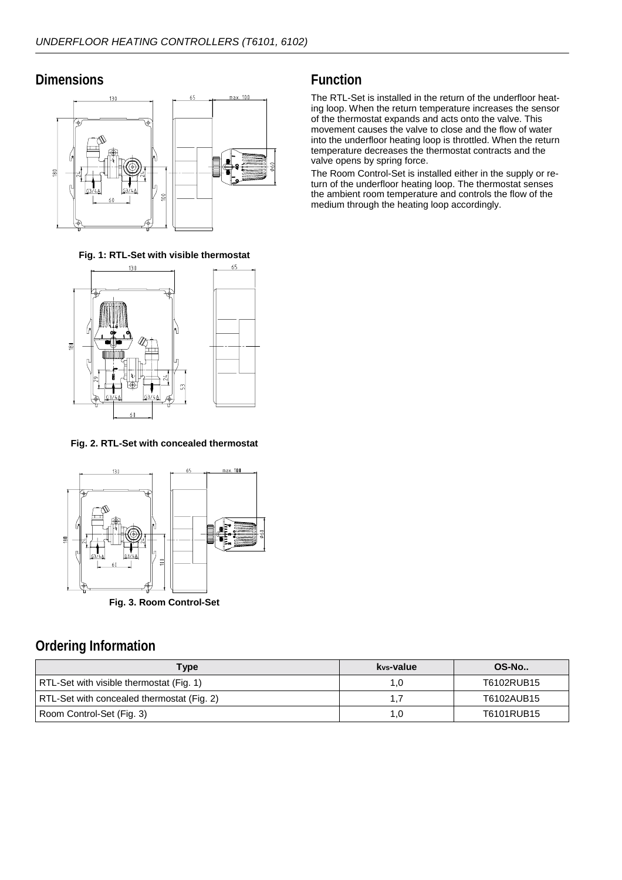#### **Dimensions**



**Fig. 1: RTL-Set with visible thermostat**



**Fig. 2. RTL-Set with concealed thermostat**



# **Ordering Information**

| Type                                       | kvs-value i | OS-No      |
|--------------------------------------------|-------------|------------|
| RTL-Set with visible thermostat (Fig. 1)   | 1.0         | T6102RUB15 |
| RTL-Set with concealed thermostat (Fig. 2) |             | T6102AUB15 |
| Room Control-Set (Fig. 3)                  | 1.0         | T6101RUB15 |

## **Function**

The RTL-Set is installed in the return of the underfloor heating loop. When the return temperature increases the sensor of the thermostat expands and acts onto the valve. This movement causes the valve to close and the flow of water into the underfloor heating loop is throttled. When the return temperature decreases the thermostat contracts and the valve opens by spring force.

The Room Control-Set is installed either in the supply or return of the underfloor heating loop. The thermostat senses the ambient room temperature and controls the flow of the medium through the heating loop accordingly.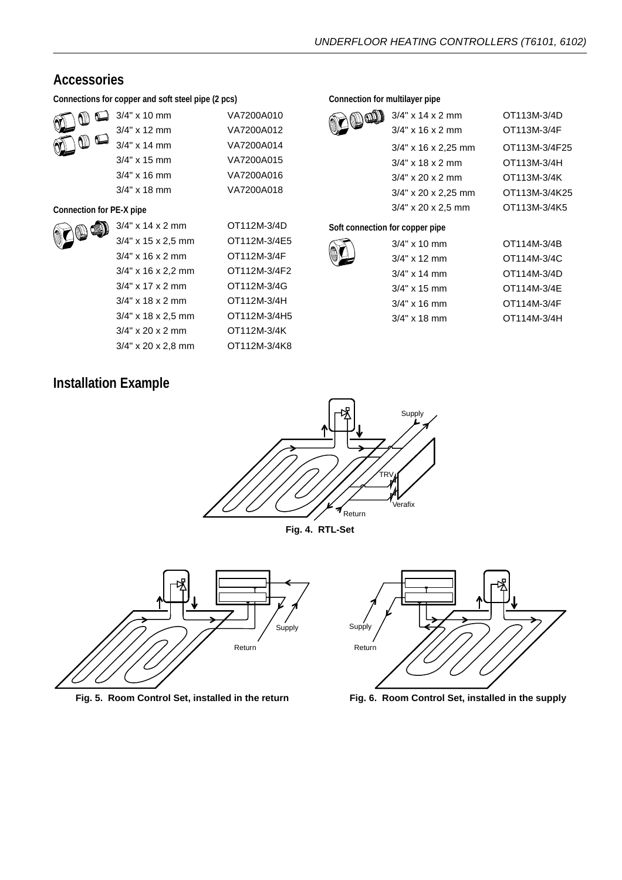## **Accessories**

**Connections for copper and soft steel pipe (2 pcs)**

| ۴ | ή,     |  |
|---|--------|--|
| ۴ | Ŵ<br>m |  |

| $3/4$ " x 10 mm | VA7200A010 |
|-----------------|------------|
| $3/4$ " x 12 mm | VA7200A012 |
| $3/4$ " x 14 mm | VA7200A014 |
| $3/4"$ x 15 mm  | VA7200A015 |
| $3/4"$ x 16 mm  | VA7200A016 |
| $3/4"$ x 18 mm  | VA7200A018 |
|                 |            |

#### **Connection for PE-X pipe**



| $3/4$ " x 14 x 2 mm   | OT112M-3/4D  |
|-----------------------|--------------|
| $3/4$ " x 15 x 2,5 mm | OT112M-3/4E5 |
| $3/4$ " x 16 x 2 mm   | OT112M-3/4F  |
| $3/4$ " x 16 x 2,2 mm | OT112M-3/4F2 |
| $3/4$ " x 17 x 2 mm   | OT112M-3/4G  |
| $3/4$ " x 18 x 2 mm   | OT112M-3/4H  |
| $3/4$ " x 18 x 2,5 mm | OT112M-3/4H5 |
| $3/4$ " x 20 x 2 mm   | OT112M-3/4K  |
| $3/4$ " x 20 x 2,8 mm | OT112M-3/4K8 |

#### **Connection for multilayer pipe**

| $3/4$ " x 14 x 2 mm    | OT113M-3/4D   |
|------------------------|---------------|
| $3/4$ " x 16 x 2 mm    | OT113M-3/4F   |
| $3/4$ " x 16 x 2,25 mm | OT113M-3/4F25 |
| $3/4$ " x 18 x 2 mm    | OT113M-3/4H   |
| $3/4$ " x 20 x 2 mm    | OT113M-3/4K   |
| $3/4"$ x 20 x 2,25 mm  | OT113M-3/4K25 |
| $3/4$ " x 20 x 2,5 mm  | OT113M-3/4K5  |
| fau aannan nina        |               |

#### **Soft connection for copper pipe**

| ινι συμμαι μιμα |             |
|-----------------|-------------|
| $3/4$ " x 10 mm | OT114M-3/4B |
| $3/4"$ x 12 mm  | OT114M-3/4C |
| $3/4"$ x 14 mm  | OT114M-3/4D |
| $3/4"$ x 15 mm  | OT114M-3/4E |
| $3/4"$ x 16 mm  | OT114M-3/4F |
| $3/4"$ x 18 mm  | OT114M-3/4H |

# **Installation Example**





**Fig. 5. Room Control Set, installed in the return**